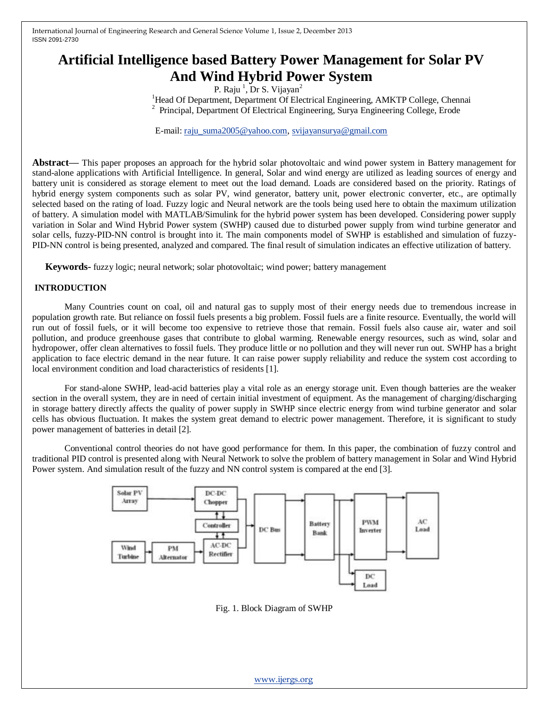# **Artificial Intelligence based Battery Power Management for Solar PV And Wind Hybrid Power System**

P. Raju  $^1$ , Dr S. Vijayan<sup>2</sup>

<sup>1</sup>Head Of Department, Department Of Electrical Engineering, AMKTP College, Chennai <sup>2</sup>Principal, Department Of Electrical Engineering, Surya Engineering College, Erode

E-mail: [raju\\_suma2005@yahoo.com,](mailto:raju_suma2005@yahoo.com) [svijayansurya@gmail.com](mailto:svijayansurya@gmail.com)

**Abstract—** This paper proposes an approach for the hybrid solar photovoltaic and wind power system in Battery management for stand-alone applications with Artificial Intelligence. In general, Solar and wind energy are utilized as leading sources of energy and battery unit is considered as storage element to meet out the load demand. Loads are considered based on the priority. Ratings of hybrid energy system components such as solar PV, wind generator, battery unit, power electronic converter, etc., are optimally selected based on the rating of load. Fuzzy logic and Neural network are the tools being used here to obtain the maximum utilization of battery. A simulation model with MATLAB/Simulink for the hybrid power system has been developed. Considering power supply variation in Solar and Wind Hybrid Power system (SWHP) caused due to disturbed power supply from wind turbine generator and solar cells, fuzzy-PID-NN control is brought into it. The main components model of SWHP is established and simulation of fuzzy-PID-NN control is being presented, analyzed and compared. The final result of simulation indicates an effective utilization of battery.

**Keywords-** fuzzy logic; neural network; solar photovoltaic; wind power; battery management

#### **INTRODUCTION**

Many Countries count on coal, oil and natural gas to supply most of their energy needs due to tremendous increase in population growth rate. But reliance on fossil fuels presents a big problem. Fossil fuels are a finite resource. Eventually, the world will run out of fossil fuels, or it will become too expensive to retrieve those that remain. Fossil fuels also cause air, water and soil pollution, and produce greenhouse gases that contribute to global warming. Renewable energy resources, such as wind, solar and hydropower, offer clean alternatives to fossil fuels. They produce little or no pollution and they will never run out. SWHP has a bright application to face electric demand in the near future. It can raise power supply reliability and reduce the system cost according to local environment condition and load characteristics of residents [1].

For stand-alone SWHP, lead-acid batteries play a vital role as an energy storage unit. Even though batteries are the weaker section in the overall system, they are in need of certain initial investment of equipment. As the management of charging/discharging in storage battery directly affects the quality of power supply in SWHP since electric energy from wind turbine generator and solar cells has obvious fluctuation. It makes the system great demand to electric power management. Therefore, it is significant to study power management of batteries in detail [2].

Conventional control theories do not have good performance for them. In this paper, the combination of fuzzy control and traditional PID control is presented along with Neural Network to solve the problem of battery management in Solar and Wind Hybrid Power system. And simulation result of the fuzzy and NN control system is compared at the end [3].



Fig. 1. Block Diagram of SWHP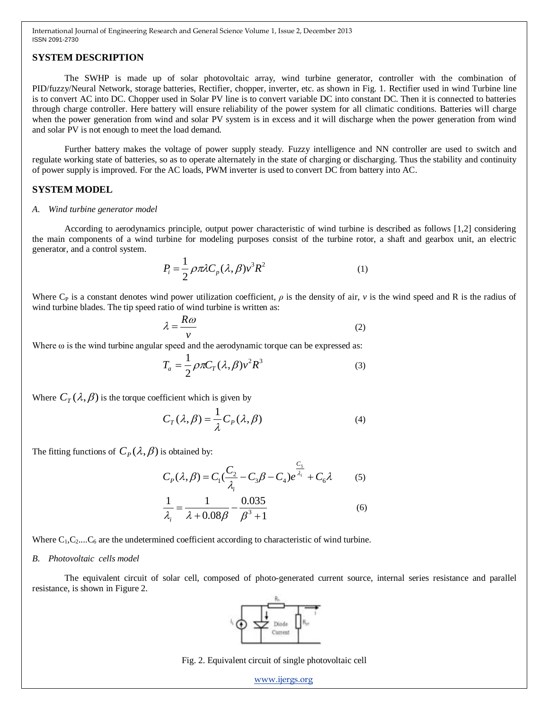# **SYSTEM DESCRIPTION**

The SWHP is made up of solar photovoltaic array, wind turbine generator, controller with the combination of PID/fuzzy/Neural Network, storage batteries, Rectifier, chopper, inverter, etc. as shown in Fig. 1. Rectifier used in wind Turbine line is to convert AC into DC. Chopper used in Solar PV line is to convert variable DC into constant DC. Then it is connected to batteries through charge controller. Here battery will ensure reliability of the power system for all climatic conditions. Batteries will charge when the power generation from wind and solar PV system is in excess and it will discharge when the power generation from wind and solar PV is not enough to meet the load demand.

Further battery makes the voltage of power supply steady. Fuzzy intelligence and NN controller are used to switch and regulate working state of batteries, so as to operate alternately in the state of charging or discharging. Thus the stability and continuity of power supply is improved. For the AC loads, PWM inverter is used to convert DC from battery into AC.

### **SYSTEM MODEL**

#### *A. Wind turbine generator model*

According to aerodynamics principle, output power characteristic of wind turbine is described as follows [1,2] considering the main components of a wind turbine for modeling purposes consist of the turbine rotor, a shaft and gearbox unit, an electric generator, and a control system.

$$
P_i = \frac{1}{2} \rho \pi \lambda C_p (\lambda, \beta) v^3 R^2
$$
 (1)

Where C<sub>P</sub> is a constant denotes wind power utilization coefficient,  $\rho$  is the density of air,  $\nu$  is the wind speed and R is the radius of wind turbine blades. The tip speed ratio of wind turbine is written as:

$$
\lambda = \frac{R\omega}{v} \tag{2}
$$

Where  $\omega$  is the wind turbine angular speed and the aerodynamic torque can be expressed as:

$$
T_a = \frac{1}{2} \rho \pi C_T (\lambda, \beta) v^2 R^3 \tag{3}
$$

Where  $C_T(\lambda, \beta)$  is the torque coefficient which is given by

$$
C_T(\lambda, \beta) = \frac{1}{\lambda} C_P(\lambda, \beta)
$$
 (4)

The fitting functions of  $C_P(\lambda, \beta)$  is obtained by:

$$
C_p(\lambda, \beta) = C_1(\frac{C_2}{\lambda_i} - C_3 \beta - C_4) e^{\frac{C_5}{\lambda_i}} + C_6 \lambda
$$
 (5)

$$
\frac{1}{\lambda_i} = \frac{1}{\lambda + 0.08\beta} - \frac{0.035}{\beta^3 + 1}
$$
 (6)

Where  $C_1, C_2, \ldots, C_6$  are the undetermined coefficient according to characteristic of wind turbine.

#### *B. Photovoltaic cells model*

The equivalent circuit of solar cell, composed of photo-generated current source, internal series resistance and parallel resistance, is shown in Figure 2.



Fig. 2. Equivalent circuit of single photovoltaic cell

[www.ijergs.org](http://www.ijergs.org/)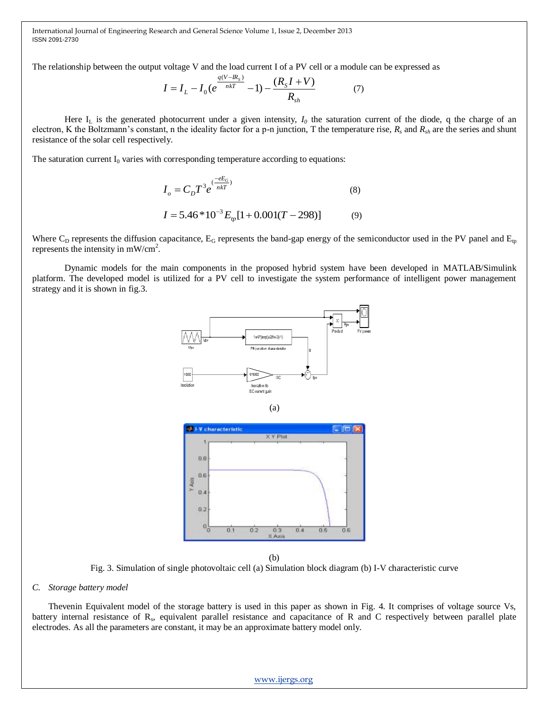The relationship between the output voltage V and the load current I of a PV cell or a module can be expressed as

$$
I = I_L - I_0 (e^{\frac{q(V - IR_s)}{nkT}} - 1) - \frac{(R_s I + V)}{R_{sh}} \tag{7}
$$

Here  $I_L$  is the generated photocurrent under a given intensity,  $I_0$  the saturation current of the diode, q the charge of an electron, K the Boltzmann's constant, n the ideality factor for a p-n junction, T the temperature rise, *R<sup>s</sup>* and *Rsh* are the series and shunt resistance of the solar cell respectively.

The saturation current  $I_0$  varies with corresponding temperature according to equations:

$$
I_o = C_D T^3 e^{\frac{(-eE_G}{nkT})}
$$
\n<sup>(8)</sup>

$$
I = 5.46 * 10^{-3} E_{tp} [1 + 0.001(T - 298)]
$$
 (9)

Where  $C_D$  represents the diffusion capacitance,  $E_G$  represents the band-gap energy of the semiconductor used in the PV panel and  $E_p$ represents the intensity in  $mW/cm<sup>2</sup>$ .

Dynamic models for the main components in the proposed hybrid system have been developed in MATLAB/Simulink platform. The developed model is utilized for a PV cell to investigate the system performance of intelligent power management strategy and it is shown in fig.3.







(b)

Fig. 3. Simulation of single photovoltaic cell (a) Simulation block diagram (b) I-V characteristic curve

#### *C. Storage battery model*

Thevenin Equivalent model of the storage battery is used in this paper as shown in Fig. 4. It comprises of voltage source Vs, battery internal resistance of R<sub>s</sub>, equivalent parallel resistance and capacitance of R and C respectively between parallel plate electrodes. As all the parameters are constant, it may be an approximate battery model only.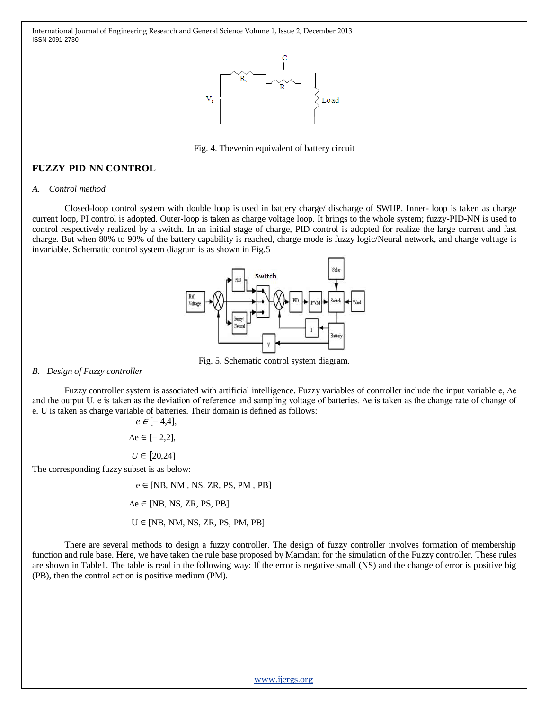

Fig. 4. Thevenin equivalent of battery circuit

# **FUZZY-PID-NN CONTROL**

#### *A. Control method*

Closed-loop control system with double loop is used in battery charge/ discharge of SWHP. Inner- loop is taken as charge current loop, PI control is adopted. Outer-loop is taken as charge voltage loop. It brings to the whole system; fuzzy-PID-NN is used to control respectively realized by a switch. In an initial stage of charge, PID control is adopted for realize the large current and fast charge. But when 80% to 90% of the battery capability is reached, charge mode is fuzzy logic/Neural network, and charge voltage is invariable. Schematic control system diagram is as shown in Fig.5



Fig. 5. Schematic control system diagram.

#### *B. Design of Fuzzy controller*

Fuzzy controller system is associated with artificial intelligence. Fuzzy variables of controller include the input variable e, ∆e and the output U. e is taken as the deviation of reference and sampling voltage of batteries. ∆e is taken as the change rate of change of e. U is taken as charge variable of batteries. Their domain is defined as follows:

$$
e \in [-4,4],
$$

∆e ∈ [− 2,2],

*U* ∈ [20,24]

The corresponding fuzzy subset is as below:

 $e \in [NB, NM, NS, ZR, PS, PM, PB]$ 

 $\Delta e \in [NB, NS, ZR, PS, PB]$ 

 $U \in [NB, NM, NS, ZR, PS, PM, PB]$ 

There are several methods to design a fuzzy controller. The design of fuzzy controller involves formation of membership function and rule base. Here, we have taken the rule base proposed by Mamdani for the simulation of the Fuzzy controller. These rules are shown in Table1. The table is read in the following way: If the error is negative small (NS) and the change of error is positive big (PB), then the control action is positive medium (PM).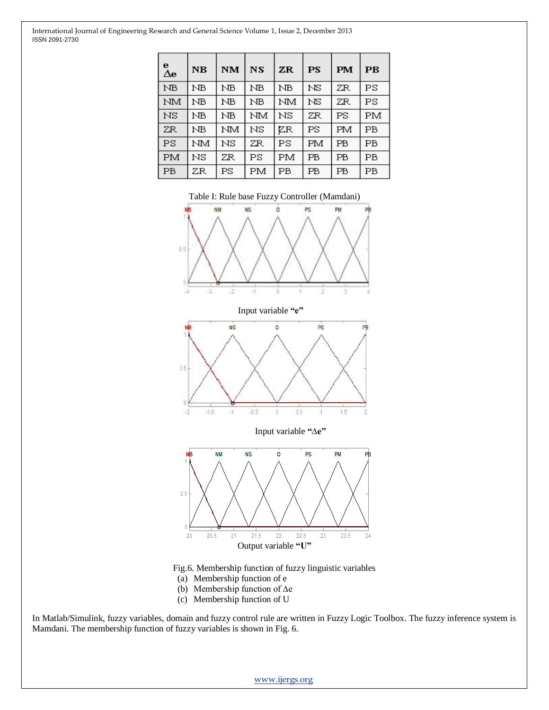| е<br>Δе   | N <sub>B</sub> | <b>NM</b> | NS | ZR | PS | <b>PM</b>   | $\overline{\mathbf{PB}}$ |
|-----------|----------------|-----------|----|----|----|-------------|--------------------------|
| NB        | ΝB             | ΝB        | ΝB | ΝB | NS | ZR          | PS                       |
| NM        | ΝB             | ΝB        | ΝB | NМ | NS | ZR          | PS                       |
| NS        | NВ             | ΝB        | NМ | NS | ZR | PS          | PМ                       |
| ZR        | ΝB             | NM        | NS | ΖR | PS | FМ          | РB                       |
| PS        | NМ             | NS        | ZR | PS | РM | PB          | РB                       |
| PM        | NS             | ZR        | PS | PM | PB | <b>PB</b>   | PB                       |
| <b>PB</b> | ZR             | PS        | PМ | РB | PB | $_{\rm PB}$ | PB                       |

Table I: Rule base Fuzzy Controller (Mamdani)



Fig.6. Membership function of fuzzy linguistic variables

- (a) Membership function of e
- (b) Membership function of ∆e
- (c) Membership function of U

In Matlab/Simulink, fuzzy variables, domain and fuzzy control rule are written in Fuzzy Logic Toolbox. The fuzzy inference system is Mamdani. The membership function of fuzzy variables is shown in Fig. 6.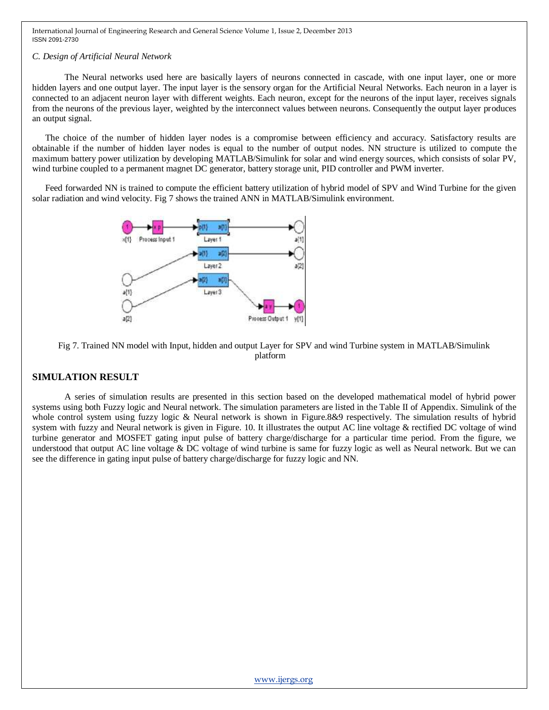#### *C. Design of Artificial Neural Network*

The Neural networks used here are basically layers of neurons connected in cascade, with one input layer, one or more hidden layers and one output layer. The input layer is the sensory organ for the Artificial Neural Networks. Each neuron in a layer is connected to an adjacent neuron layer with different weights. Each neuron, except for the neurons of the input layer, receives signals from the neurons of the previous layer, weighted by the interconnect values between neurons. Consequently the output layer produces an output signal.

The choice of the number of hidden layer nodes is a compromise between efficiency and accuracy. Satisfactory results are obtainable if the number of hidden layer nodes is equal to the number of output nodes. NN structure is utilized to compute the maximum battery power utilization by developing MATLAB/Simulink for solar and wind energy sources, which consists of solar PV, wind turbine coupled to a permanent magnet DC generator, battery storage unit, PID controller and PWM inverter.

Feed forwarded NN is trained to compute the efficient battery utilization of hybrid model of SPV and Wind Turbine for the given solar radiation and wind velocity. Fig 7 shows the trained ANN in MATLAB/Simulink environment.



Fig 7. Trained NN model with Input, hidden and output Layer for SPV and wind Turbine system in MATLAB/Simulink platform

## **SIMULATION RESULT**

A series of simulation results are presented in this section based on the developed mathematical model of hybrid power systems using both Fuzzy logic and Neural network. The simulation parameters are listed in the Table II of Appendix. Simulink of the whole control system using fuzzy logic & Neural network is shown in Figure.8&9 respectively. The simulation results of hybrid system with fuzzy and Neural network is given in Figure. 10. It illustrates the output AC line voltage & rectified DC voltage of wind turbine generator and MOSFET gating input pulse of battery charge/discharge for a particular time period. From the figure, we understood that output AC line voltage & DC voltage of wind turbine is same for fuzzy logic as well as Neural network. But we can see the difference in gating input pulse of battery charge/discharge for fuzzy logic and NN.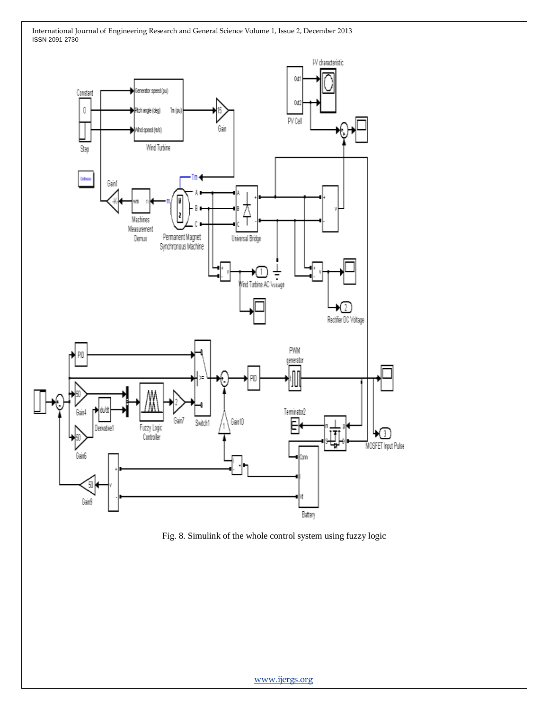

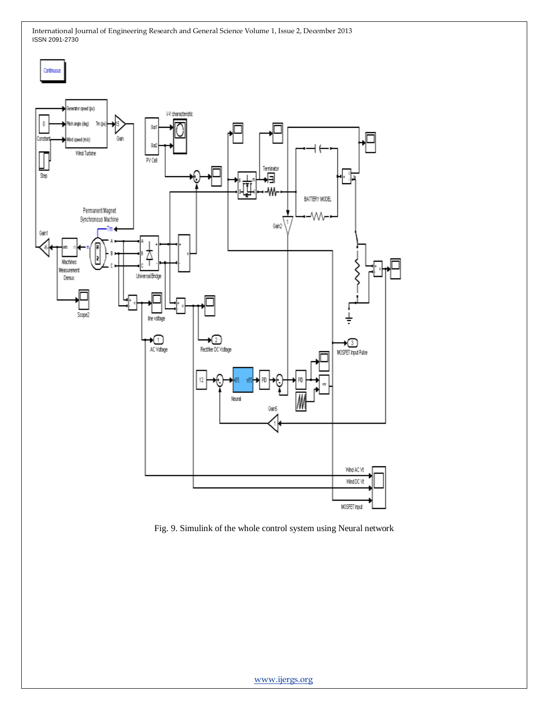

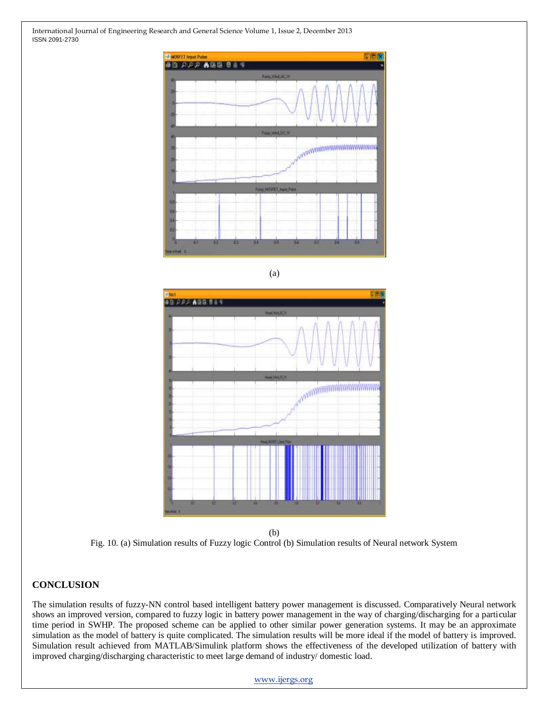

(a)



(b) Fig. 10. (a) Simulation results of Fuzzy logic Control (b) Simulation results of Neural network System

# **CONCLUSION**

The simulation results of fuzzy-NN control based intelligent battery power management is discussed. Comparatively Neural network shows an improved version, compared to fuzzy logic in battery power management in the way of charging/discharging for a particular time period in SWHP. The proposed scheme can be applied to other similar power generation systems. It may be an approximate simulation as the model of battery is quite complicated. The simulation results will be more ideal if the model of battery is improved. Simulation result achieved from MATLAB/Simulink platform shows the effectiveness of the developed utilization of battery with improved charging/discharging characteristic to meet large demand of industry/ domestic load.